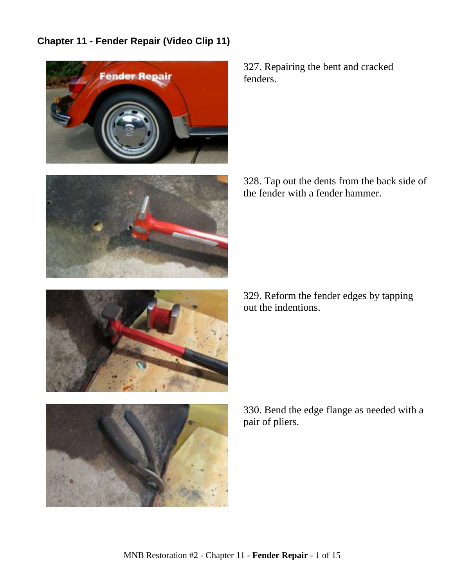## **Chapter 11 - Fender Repair (Video Clip 11)**



327. Repairing the bent and cracked fenders.

328. Tap out the dents from the back side of the fender with a fender hammer.

329. Reform the fender edges by tapping out the indentions.





330. Bend the edge flange as needed with a pair of pliers.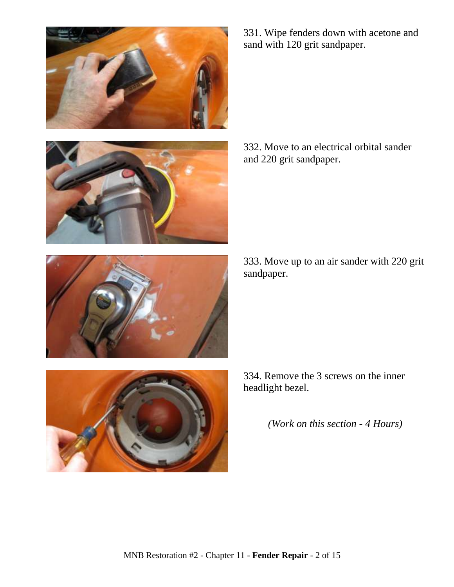





332. Move to an electrical orbital sander and 220 grit sandpaper.

333. Move up to an air sander with 220 grit sandpaper.



334. Remove the 3 screws on the inner headlight bezel.

*(Work on this section - 4 Hours)*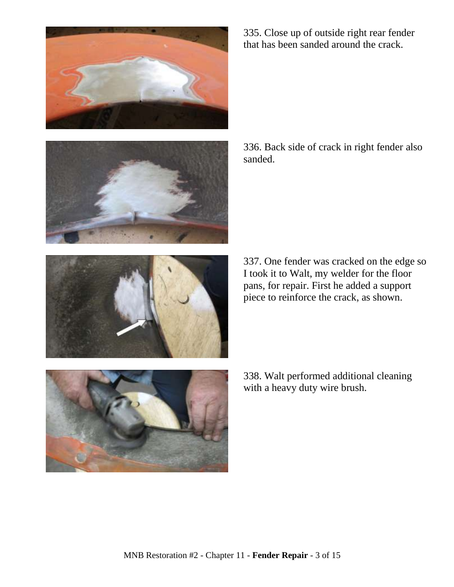





335. Close up of outside right rear fender that has been sanded around the crack.

336. Back side of crack in right fender also sanded.

337. One fender was cracked on the edge so I took it to Walt, my welder for the floor pans, for repair. First he added a support piece to reinforce the crack, as shown.

338. Walt performed additional cleaning with a heavy duty wire brush.

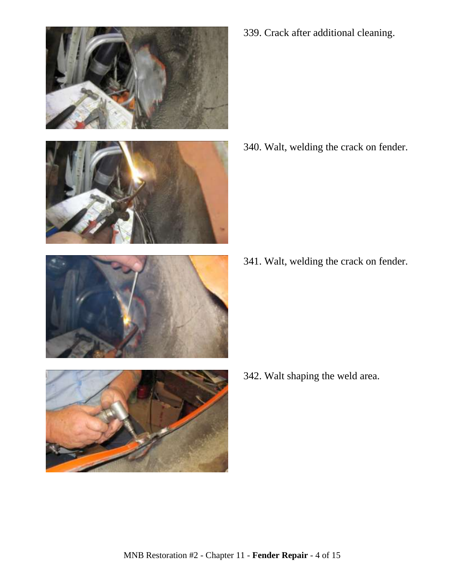



- 
- 

339. Crack after additional cleaning.

340. Walt, welding the crack on fender.

341. Walt, welding the crack on fender.

342. Walt shaping the weld area.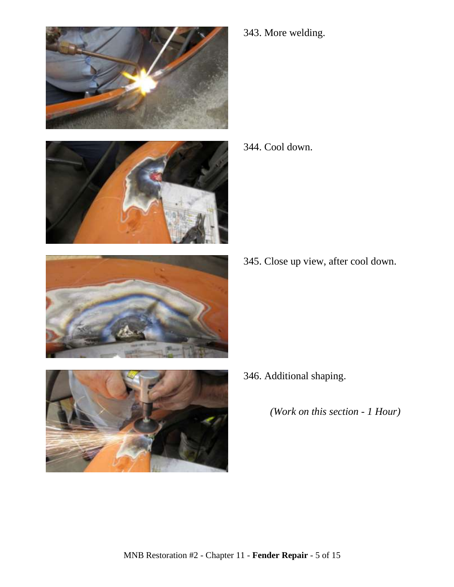







343. More welding.

344. Cool down.

345. Close up view, after cool down.

346. Additional shaping.

*(Work on this section - 1 Hour)*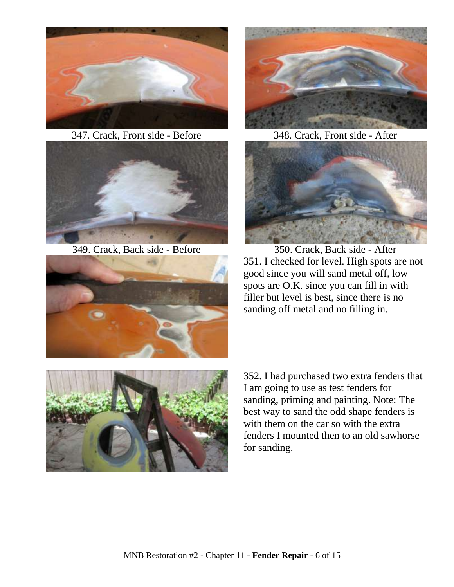

347. Crack, Front side - Before 348. Crack, Front side - After









349. Crack, Back side - Before 350. Crack, Back side - After 351. I checked for level. High spots are not good since you will sand metal off, low spots are O.K. since you can fill in with filler but level is best, since there is no sanding off metal and no filling in.



352. I had purchased two extra fenders that I am going to use as test fenders for sanding, priming and painting. Note: The best way to sand the odd shape fenders is with them on the car so with the extra fenders I mounted then to an old sawhorse for sanding.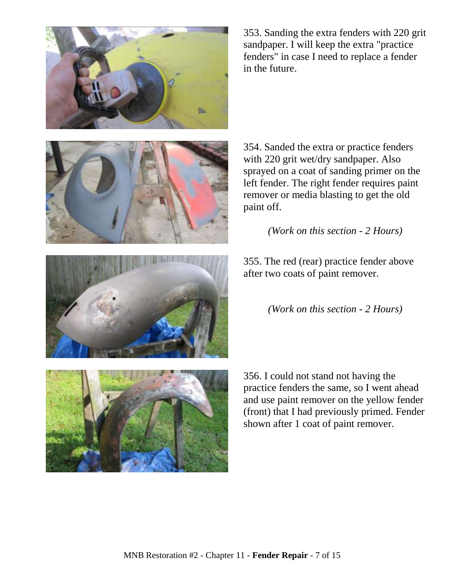

353. Sanding the extra fenders with 220 grit sandpaper. I will keep the extra "practice fenders" in case I need to replace a fender in the future.



354. Sanded the extra or practice fenders with 220 grit wet/dry sandpaper. Also sprayed on a coat of sanding primer on the left fender. The right fender requires paint remover or media blasting to get the old paint off.

*(Work on this section - 2 Hours)*

355. The red (rear) practice fender above after two coats of paint remover.

*(Work on this section - 2 Hours)*



356. I could not stand not having the practice fenders the same, so I went ahead and use paint remover on the yellow fender (front) that I had previously primed. Fender shown after 1 coat of paint remover.

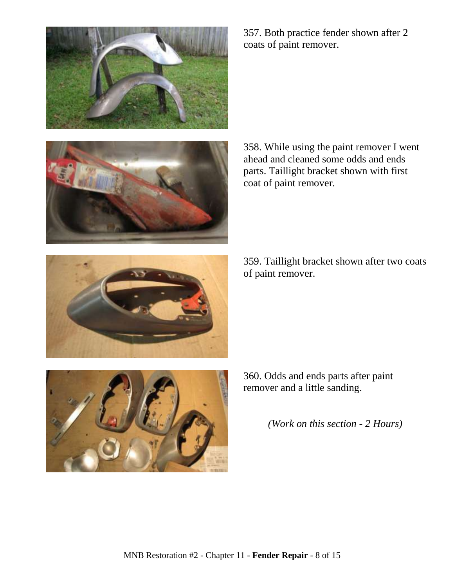



357. Both practice fender shown after 2 coats of paint remover.

358. While using the paint remover I went ahead and cleaned some odds and ends parts. Taillight bracket shown with first coat of paint remover.

359. Taillight bracket shown after two coats of paint remover.



360. Odds and ends parts after paint remover and a little sanding.

*(Work on this section - 2 Hours)*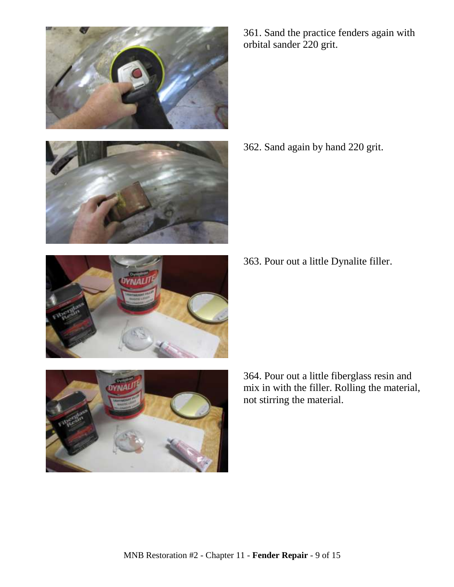



361. Sand the practice fenders again with orbital sander 220 grit.

362. Sand again by hand 220 grit.

363. Pour out a little Dynalite filler.



364. Pour out a little fiberglass resin and mix in with the filler. Rolling the material, not stirring the material.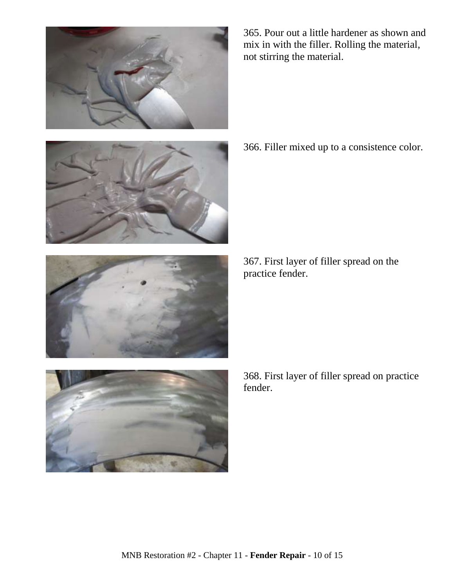





368. First layer of filler spread on practice fender.

367. First layer of filler spread on the practice fender.





366. Filler mixed up to a consistence color.

365. Pour out a little hardener as shown and mix in with the filler. Rolling the material, not stirring the material.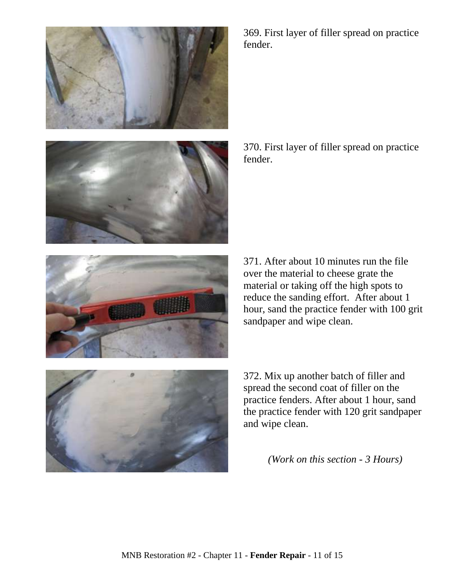

369. First layer of filler spread on practice fender.

370. First layer of filler spread on practice fender.

371. After about 10 minutes run the file over the material to cheese grate the material or taking off the high spots to reduce the sanding effort. After about 1 hour, sand the practice fender with 100 grit sandpaper and wipe clean.

372. Mix up another batch of filler and spread the second coat of filler on the practice fenders. After about 1 hour, sand the practice fender with 120 grit sandpaper and wipe clean.

*(Work on this section - 3 Hours)*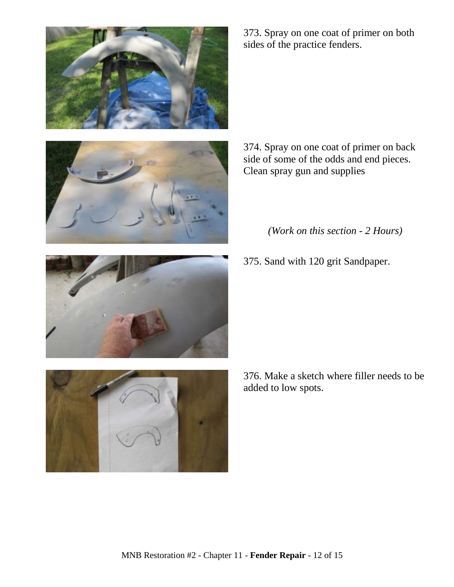



373. Spray on one coat of primer on both sides of the practice fenders.

374. Spray on one coat of primer on back side of some of the odds and end pieces. Clean spray gun and supplies

*(Work on this section - 2 Hours)*

375. Sand with 120 grit Sandpaper.



376. Make a sketch where filler needs to be added to low spots.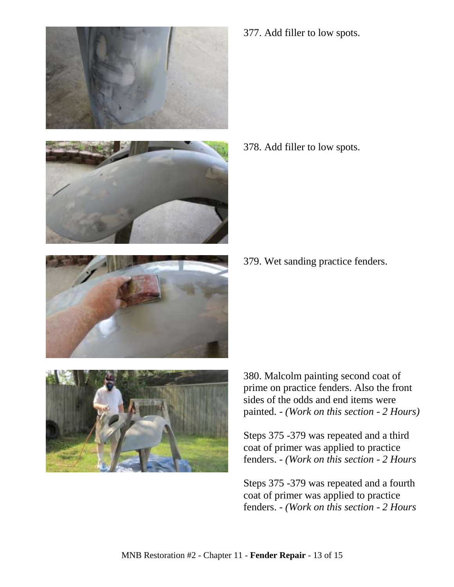



377. Add filler to low spots.

378. Add filler to low spots.



379. Wet sanding practice fenders.



380. Malcolm painting second coat of prime on practice fenders. Also the front sides of the odds and end items were painted. - *(Work on this section - 2 Hours)*

Steps 375 -379 was repeated and a third coat of primer was applied to practice fenders. - *(Work on this section - 2 Hours*

Steps 375 -379 was repeated and a fourth coat of primer was applied to practice fenders. - *(Work on this section - 2 Hours*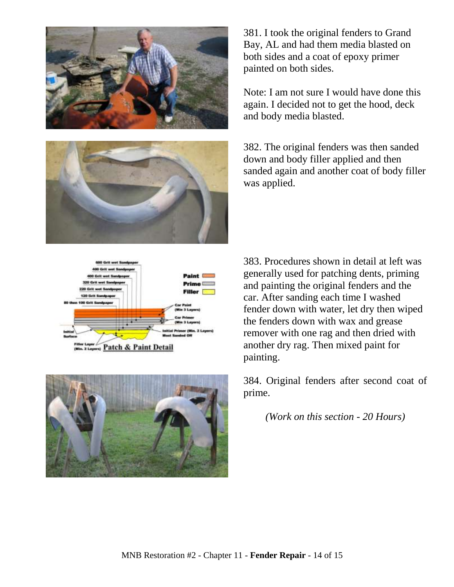



381. I took the original fenders to Grand Bay, AL and had them media blasted on both sides and a coat of epoxy primer painted on both sides.

Note: I am not sure I would have done this again. I decided not to get the hood, deck and body media blasted.

382. The original fenders was then sanded down and body filler applied and then sanded again and another coat of body filler was applied.

383. Procedures shown in detail at left was generally used for patching dents, priming and painting the original fenders and the car. After sanding each time I washed fender down with water, let dry then wiped the fenders down with wax and grease remover with one rag and then dried with another dry rag. Then mixed paint for painting.

384. Original fenders after second coat of prime.

*(Work on this section - 20 Hours)*